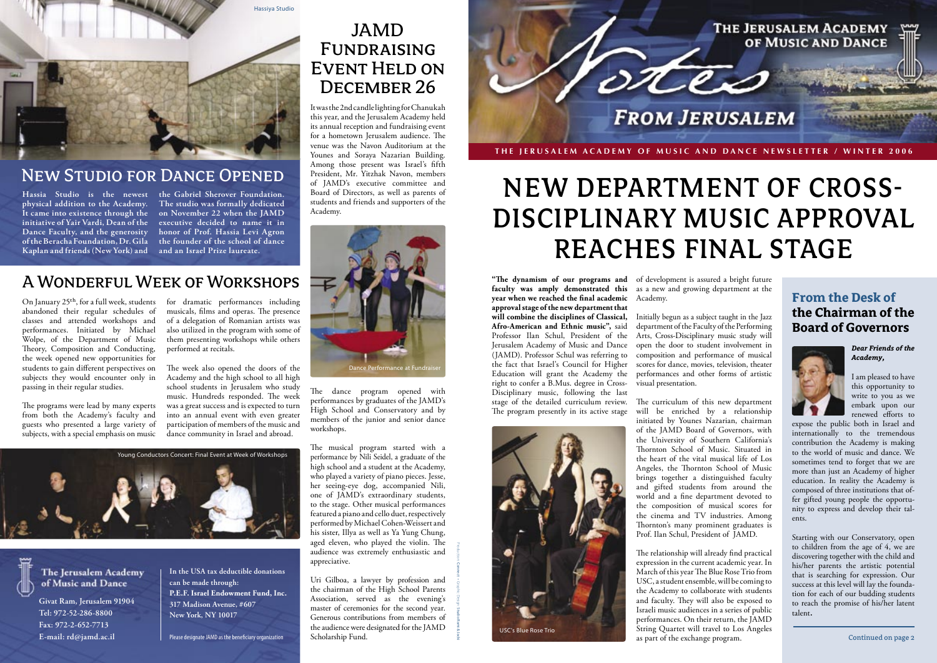

# DISCIPLINARY MUSIC APPROVAL NEW DEPARTMENT OF CROSS-REACHES FINAL STAGE

vear when we reached the final academic approval stage of the new department that will combine the disciplines of Classical, Afro-American and Ethnic music", said Professor Ilan Schul, President of the Jerusalem Academy of Music and Dance the fact that Israel's Council for Higher Education will grant the Academy the Disciplinary music, following the last right to confer a B.Mus. degree in Crossstage of the detailed curriculum review. The program presently in its active stage

*Dear Friends of the ,Academy*

I am pleased to have this opportunity to write to you as we embark upon our renewed efforts to

expose the public both in Israel and internationally to the tremendous contribution the Academy is making to the world of music and dance. We sometimes tend to forget that we are more than just an Academy of higher education. In reality the Academy is nity to express and develop their tal-<br>ents. fer gifted young people the opportu-<br>nity to express and develop their talfer gifted young people the opportucomposed of three institutions that of-

Starting with our Conservatory, open to children from the age of  $4$ , we are discovering together with the child and his/her parents the artistic potential that is searching for expression. Our tion for each of our budding students success at this level will lay the foundato reach the promise of his/her latent talent.

**"The dynamism of our programs and** of development is assured a bright future **faculty was amply demonstrated this** as a new and growing department at the .Academy

(JAMD). Professor Schul was referring to composition and performance of musical Initially begun as a subject taught in the Jazz department of the Faculty of the Performing Arts, Cross-Disciplinary music study will open the door to student involvement in scores for dance, movies, television, theater performances and other forms of artistic visual presentation.

> The curriculum of this new department will be enriched by a relationship initiated by Younes Nazarian, chairman of the JAMD Board of Governors, with the University of Southern California's Thornton School of Music. Situated in the heart of the vital musical life of Los Angeles, the Thornton School of Music brings together a distinguished faculty and gifted students from around the world and a fine department devoted to the composition of musical scores for the cinema and TV industries. Among Thornton's many prominent graduates is Prof. Ilan Schul, President of JAMD.

The relationship will already find practical expression in the current academic year. In March of this year The Blue Rose Trio from USC, a student ensemble, will be coming to the Academy to collaborate with students and faculty. They will also be exposed to Israeli music audiences in a series of public performances. On their return, the JAMD String Quartet will travel to Los Angeles as part of the exchange program. Continued on page 2

#### **From the Desk of the Chairman of the Board of Governors**



It was the 2nd candle lighting for Chanukah this year, and the Jerusalem Academy held its annual reception and fundraising event for a hometown Jerusalem audience. The venue was the Navon Auditorium at the Younes and Soraya Nazarian Building. Among those present was Israel's fifth President, Mr. Yitzhak Navon, members of JAMD's executive committee and Board of Directors, as well as parents of students and friends and supporters of the .Academy

The dance program opened with performances by graduates of the JAMD's High School and Conservatory and by members of the junior and senior dance .workshops

The musical program started with a performance by Nili Seidel, a graduate of the high school and a student at the Academy, who played a variety of piano pieces. Jesse, her seeing-eye dog, accompanied Nili, one of JAMD's extraordinary students, to the stage. Other musical performances  $f$ eatured a piano and cello duet, respectively performed by Michael Cohen-Weissert and his sister, Illya as well as Ya Yung Chung, aged eleven, who played the violin. The and enthusiastic and .appreciative

Uri Gilboa, a lawyer by profession and the chairman of the High School Parents Association, served as the evening's master of ceremonies for the second year. Generous contributions from members of the audience were designated for the JAMD Scholarship Fund.

Production: Connect • Graphic Design: Studio Rami & Jacki

### JAMD Fundraising **EVENT HELD ON** DECEMBER 26





#### **NEW STUDIO FOR DANCE OPENED**

physical addition to the Academy. **Dance Faculty, and the generosity** of the Beracha Foundation, Dr. Gila Kaplan and friends (New York) and

Hassia Studio is the newest the **Gabriel Sherover Foundation**. It came into existence through the on November 22 when the JAMD initiative of Yair Vardi, Dean of the executive decided to name it in The studio was formally dedicated honor of Prof. Hassia Levi Agron the founder of the school of dance and an Israel Prize laureate.

#### A WONDERFUL WEEK OF WORKSHOPS

On January 25<sup>th</sup>, for a full week, students for dramatic performances including abandoned their regular schedules of classes and attended workshops and performances. Initiated by Michael Wolpe, of the Department of Music Theory, Composition and Conducting, the week opened new opportunities for students to gain different perspectives on subjects they would encounter only in passing in their regular studies.

The programs were lead by many experts from both the Academy's faculty and guests who presented a large variety of subjects, with a special emphasis on music

musicals, films and operas. The presence of a delegation of Romanian artists was also utilized in the program with some of them presenting workshops while others performed at recitals.

The week also opened the doors of the Academy and the high school to all high school students in Jerusalem who study music. Hundreds responded. The week was a great success and is expected to turn into an annual event with even greater participation of members of the music and dance community in Israel and abroad.





**Givat Ram, Jerusalem 91904** Tel: 972-52-286-8800 Fax: 972-2-652-7713 E-mail: rd@jamd.ac.il

In the USA tax deductible donations can be made through: **P.E.F. Israel Endowment Fund, Inc. 317 Madison Avenue, #607 New York, NY 10017** 

Please designate JAMD as the beneficiary organization